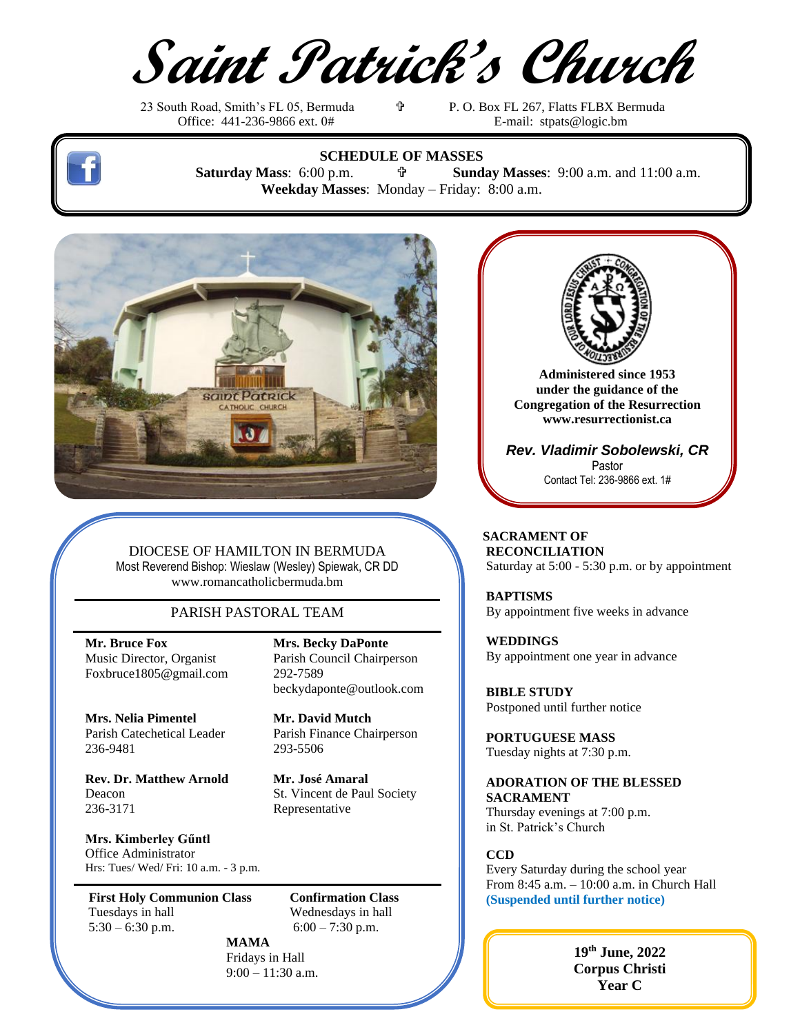**Saint Patrick's Church**

23 South Road, Smith's FL 05, Bermuda<br>
Office: 441-236-9866 ext. 0#<br>
E-mail: strats @logic.bm

E-mail: [stpats@logic.bm](mailto:stpats@logic.bm)



**SCHEDULE OF MASSES Saturday Mass**: 6:00 p.m.  **Sunday Masses**: 9:00 a.m. and 11:00 a.m. **Weekday Masses**: Monday – Friday: 8:00 a.m.



DIOCESE OF HAMILTON IN BERMUDA Most Reverend Bishop: Wieslaw (Wesley) Spiewak, CR DD [www.romancatholicbermuda.bm](http://www.romancatholicbermuda.bm/)

## PARISH PASTORAL TEAM

**Mr. Bruce Fox Mrs. Becky DaPonte** Foxbruce1805@gmail.com 292-7589

**Mrs. Nelia Pimentel Mr. David Mutch** Parish Catechetical Leader Parish Finance Chairperson 236-9481 293-5506

**Rev. Dr. Matthew Arnold Mr. José Amaral** Deacon St. Vincent de Paul Society 236-3171 Representative

**Mrs. Kimberley Gűntl** Office Administrator Hrs: Tues/ Wed/ Fri: 10 a.m. - 3 p.m.

**First Holy Communion Class** Tuesdays in hall Wednesdays in hall  $5:30 - 6:30 \text{ p.m.}$  6:00 – 7:30 p.m.

Music Director, Organist Parish Council Chairperson beckydaponte@outlook.com

**MAMA** Fridays in Hall 9:00 – 11:30 a.m.

**Administered since 1953 under the guidance of the Congregation of the Resurrection [www.resurrectionist.ca](http://www.resurrectionist.ca/)**

*Rev. Vladimir Sobolewski, CR* Pastor Contact Tel: 236-9866 ext. 1#

 **SACRAMENT OF RECONCILIATION** Saturday at 5:00 - 5:30 p.m. or by appointment

 **BAPTISMS** By appointment five weeks in advance

 **WEDDINGS** By appointment one year in advance

 **BIBLE STUDY** Postponed until further notice

 **PORTUGUESE MASS** Tuesday nights at 7:30 p.m.

#### **ADORATION OF THE BLESSED SACRAMENT** Thursday evenings at 7:00 p.m.

in St. Patrick's Church

 **CCD**

Every Saturday during the school year  $\begin{array}{|l|c|c|c|c|}\n\hline\n\textbf{Confirmation Class} & \textbf{From 8:45 a.m.} - 10:00 \text{ a.m. in Church Hall} \\
\hline\n\textbf{Confirmation Class} & \textbf{(Suspended until further notice)}\n\hline\n\end{array}$ **(Suspended until further notice)**

> **19 th June, 2022 Corpus Christi Year C**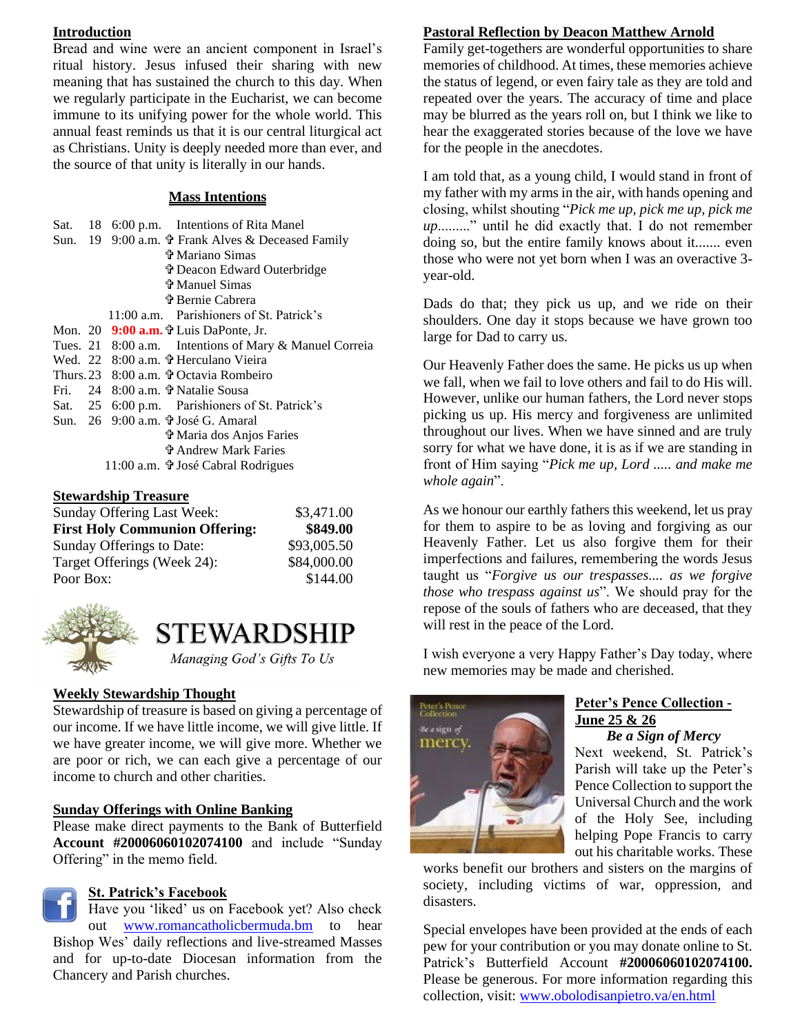## **Introduction**

Bread and wine were an ancient component in Israel's ritual history. Jesus infused their sharing with new meaning that has sustained the church to this day. When we regularly participate in the Eucharist, we can become immune to its unifying power for the whole world. This annual feast reminds us that it is our central liturgical act as Christians. Unity is deeply needed more than ever, and the source of that unity is literally in our hands.

#### **Mass Intentions**

|  | Sat. 18 6:00 p.m. Intentions of Rita Manel                   |
|--|--------------------------------------------------------------|
|  | Sun. 19 9:00 a.m. <sup>t</sup> Frank Alves & Deceased Family |
|  | <b>守 Mariano Simas</b>                                       |
|  | <b>Deacon Edward Outerbridge</b>                             |
|  | <b>守 Manuel Simas</b>                                        |
|  | <b>D</b> Bernie Cabrera                                      |
|  | 11:00 a.m. Parishioners of St. Patrick's                     |
|  | Mon. 20 $9:00$ a.m. $\ddot{\tau}$ Luis DaPonte, Jr.          |
|  | Tues. 21 8:00 a.m. Intentions of Mary & Manuel Correia       |
|  | Wed. 22 8:00 a.m. + Herculano Vieira                         |
|  | Thurs. 23 8:00 a.m. <i>+</i> Octavia Rombeiro                |
|  | Fri. 24 $8:00$ a.m. $\ddot{\mathbf{\tau}}$ Natalie Sousa     |
|  | Sat. 25 6:00 p.m. Parishioners of St. Patrick's              |
|  | Sun. 26 9:00 a.m. † José G. Amaral                           |
|  | † Maria dos Anjos Faries                                     |
|  | ቱ Andrew Mark Faries                                         |
|  | 11:00 a.m. † José Cabral Rodrigues                           |
|  |                                                              |

#### **Stewardship Treasure**

| Sunday Offering Last Week:            | \$3,471.00  |
|---------------------------------------|-------------|
| <b>First Holy Communion Offering:</b> | \$849.00    |
| Sunday Offerings to Date:             | \$93,005.50 |
| Target Offerings (Week 24):           | \$84,000.00 |
| Poor Box:                             | \$144.00    |



# **STEWARDSHIP**

Managing God's Gifts To Us

# **Weekly Stewardship Thought**

Stewardship of treasure is based on giving a percentage of our income. If we have little income, we will give little. If we have greater income, we will give more. Whether we are poor or rich, we can each give a percentage of our income to church and other charities.

#### **Sunday Offerings with Online Banking**

Please make direct payments to the Bank of Butterfield **Account #20006060102074100** and include "Sunday Offering" in the memo field.

# **St. Patrick's Facebook**

Have you 'liked' us on Facebook yet? Also check out [www.romancatholicbermuda.bm](http://www.romancatholicbermuda.bm/) to hear Bishop Wes' daily reflections and live-streamed Masses and for up-to-date Diocesan information from the Chancery and Parish churches.

# **Pastoral Reflection by Deacon Matthew Arnold**

Family get-togethers are wonderful opportunities to share memories of childhood. At times, these memories achieve the status of legend, or even fairy tale as they are told and repeated over the years. The accuracy of time and place may be blurred as the years roll on, but I think we like to hear the exaggerated stories because of the love we have for the people in the anecdotes.

I am told that, as a young child, I would stand in front of my father with my arms in the air, with hands opening and closing, whilst shouting "*Pick me up, pick me up, pick me up*........." until he did exactly that. I do not remember doing so, but the entire family knows about it....... even those who were not yet born when I was an overactive 3 year-old.

Dads do that; they pick us up, and we ride on their shoulders. One day it stops because we have grown too large for Dad to carry us.

Our Heavenly Father does the same. He picks us up when we fall, when we fail to love others and fail to do His will. However, unlike our human fathers, the Lord never stops picking us up. His mercy and forgiveness are unlimited throughout our lives. When we have sinned and are truly sorry for what we have done, it is as if we are standing in front of Him saying "*Pick me up, Lord ..... and make me whole again*".

As we honour our earthly fathers this weekend, let us pray for them to aspire to be as loving and forgiving as our Heavenly Father. Let us also forgive them for their imperfections and failures, remembering the words Jesus taught us "*Forgive us our trespasses.... as we forgive those who trespass against us*". We should pray for the repose of the souls of fathers who are deceased, that they will rest in the peace of the Lord.

I wish everyone a very Happy Father's Day today, where new memories may be made and cherished.



# **Peter's Pence Collection - June 25 & 26**

*Be a Sign of Mercy* Next weekend, St. Patrick's Parish will take up the Peter's Pence Collection to support the Universal Church and the work of the Holy See, including helping Pope Francis to carry out his charitable works. These

works benefit our brothers and sisters on the margins of society, including victims of war, oppression, and disasters.

Special envelopes have been provided at the ends of each pew for your contribution or you may donate online to St. Patrick's Butterfield Account **#20006060102074100.** Please be generous. For more information regarding this collection, visit[: www.obolodisanpietro.va/en.html](http://www.obolodisanpietro.va/en.html)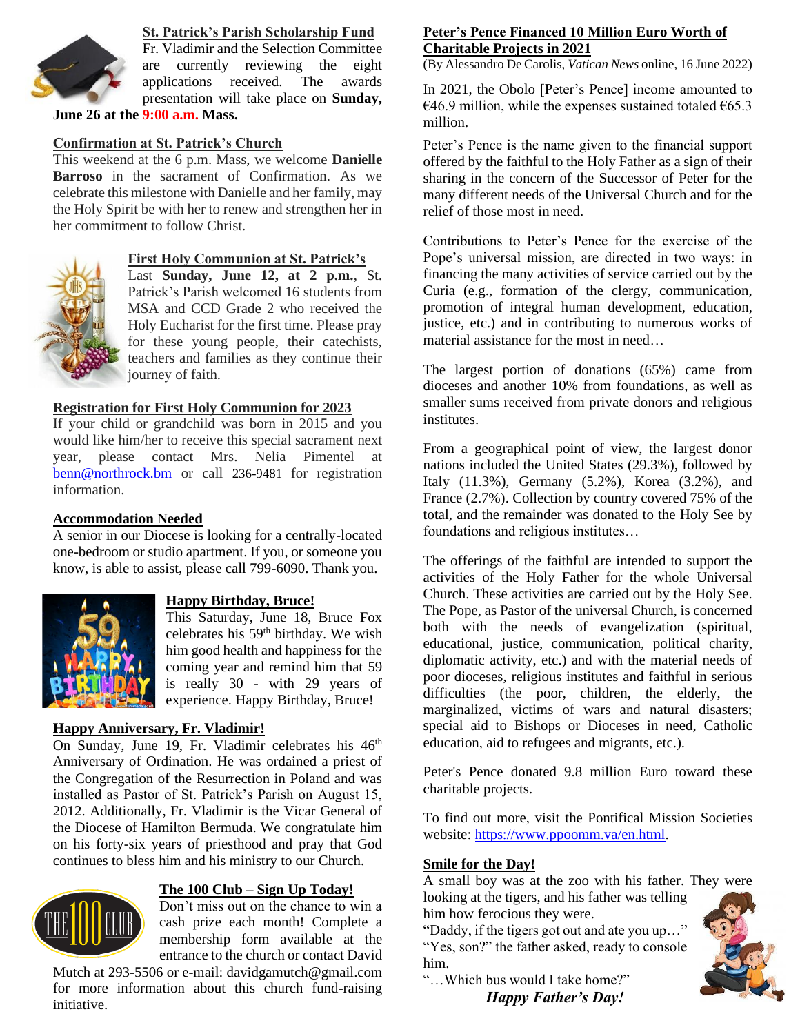

# **St. Patrick's Parish Scholarship Fund**

Fr. Vladimir and the Selection Committee are currently reviewing the eight applications received. The awards presentation will take place on **Sunday,** 

**June 26 at the 9:00 a.m. Mass.**

## **Confirmation at St. Patrick's Church**

This weekend at the 6 p.m. Mass, we welcome **Danielle Barroso** in the sacrament of Confirmation. As we celebrate this milestone with Danielle and her family, may the Holy Spirit be with her to renew and strengthen her in her commitment to follow Christ.



#### **First Holy Communion at St. Patrick's**

Last **Sunday, June 12, at 2 p.m.**, St. Patrick's Parish welcomed 16 students from MSA and CCD Grade 2 who received the Holy Eucharist for the first time. Please pray for these young people, their catechists, teachers and families as they continue their journey of faith.

#### **Registration for First Holy Communion for 2023**

If your child or grandchild was born in 2015 and you would like him/her to receive this special sacrament next year, please contact Mrs. Nelia Pimentel at [benn@northrock.bm](mailto:benn@northrock.bm) or call 236-9481 for registration information.

#### **Accommodation Needed**

A senior in our Diocese is looking for a centrally-located one-bedroom or studio apartment. If you, or someone you know, is able to assist, please call 799-6090. Thank you.



#### **Happy Birthday, Bruce!**

This Saturday, June 18, Bruce Fox celebrates his 59th birthday. We wish him good health and happiness for the coming year and remind him that 59 is really 30 - with 29 years of experience. Happy Birthday, Bruce!

#### **Happy Anniversary, Fr. Vladimir!**

On Sunday, June 19, Fr. Vladimir celebrates his 46<sup>th</sup> Anniversary of Ordination. He was ordained a priest of the Congregation of the Resurrection in Poland and was installed as Pastor of St. Patrick's Parish on August 15, 2012. Additionally, Fr. Vladimir is the Vicar General of the Diocese of Hamilton Bermuda. We congratulate him on his forty-six years of priesthood and pray that God continues to bless him and his ministry to our Church.



#### **The 100 Club – Sign Up Today!**

Don't miss out on the chance to win a cash prize each month! Complete a membership form available at the entrance to the church or contact David

Mutch at 293-5506 or e-mail: davidgamutch@gmail.com for more information about this church fund-raising initiative.

#### **Peter's Pence Financed 10 Million Euro Worth of Charitable Projects in 2021**

(By Alessandro De Carolis, *Vatican News* online, 16 June 2022)

In 2021, the Obolo [Peter's Pence] income amounted to  $\epsilon$ 46.9 million, while the expenses sustained totaled  $\epsilon$ 65.3 million.

Peter's Pence is the name given to the financial support offered by the faithful to the Holy Father as a sign of their sharing in the concern of the Successor of Peter for the many different needs of the Universal Church and for the relief of those most in need.

Contributions to Peter's Pence for the exercise of the Pope's universal mission, are directed in two ways: in financing the many activities of service carried out by the Curia (e.g., formation of the clergy, communication, promotion of integral human development, education, justice, etc.) and in contributing to numerous works of material assistance for the most in need…

The largest portion of donations (65%) came from dioceses and another 10% from foundations, as well as smaller sums received from private donors and religious institutes.

From a geographical point of view, the largest donor nations included the United States (29.3%), followed by Italy (11.3%), Germany (5.2%), Korea (3.2%), and France (2.7%). Collection by country covered 75% of the total, and the remainder was donated to the Holy See by foundations and religious institutes…

The offerings of the faithful are intended to support the activities of the Holy Father for the whole Universal Church. These activities are carried out by the Holy See. The Pope, as Pastor of the universal Church, is concerned both with the needs of evangelization (spiritual, educational, justice, communication, political charity, diplomatic activity, etc.) and with the material needs of poor dioceses, religious institutes and faithful in serious difficulties (the poor, children, the elderly, the marginalized, victims of wars and natural disasters; special aid to Bishops or Dioceses in need, Catholic education, aid to refugees and migrants, etc.).

Peter's Pence donated 9.8 million Euro toward these charitable projects.

To find out more, visit the [Pontifical Mission Societies](https://www.ppoomm.va/en.html) website: [https://www.ppoomm.va/en.html.](https://www.ppoomm.va/en.html)

#### **Smile for the Day!**

A small boy was at the zoo with his father. They were looking at the tigers, and his father was telling

him how ferocious they were. "Daddy, if the tigers got out and ate you up…" "Yes, son?" the father asked, ready to console him.